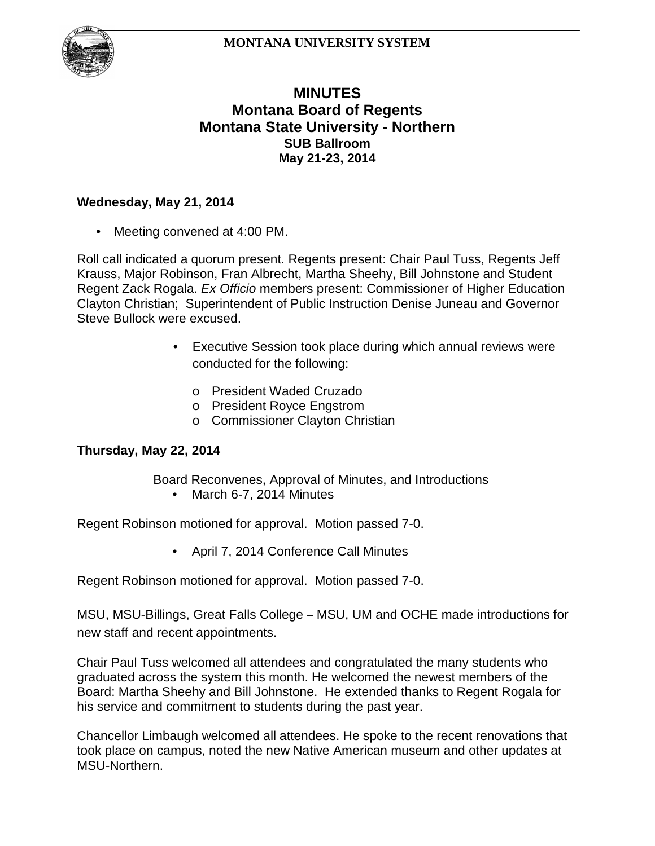

# **MINUTES Montana Board of Regents Montana State University - Northern SUB Ballroom May 21-23, 2014**

### **Wednesday, May 21, 2014**

Meeting convened at 4:00 PM.

Roll call indicated a quorum present. Regents present: Chair Paul Tuss, Regents Jeff Krauss, Major Robinson, Fran Albrecht, Martha Sheehy, Bill Johnstone and Student Regent Zack Rogala. *Ex Officio* members present: Commissioner of Higher Education Clayton Christian; Superintendent of Public Instruction Denise Juneau and Governor Steve Bullock were excused.

- Executive Session took place during which annual reviews were conducted for the following:
	- o President Waded Cruzado
	- o President Royce Engstrom
	- o Commissioner Clayton Christian

#### **Thursday, May 22, 2014**

- Board Reconvenes, Approval of Minutes, and Introductions
	- March 6-7, 2014 Minutes

Regent Robinson motioned for approval. Motion passed 7-0.

• April 7, 2014 Conference Call Minutes

Regent Robinson motioned for approval. Motion passed 7-0.

MSU, MSU-Billings, Great Falls College – MSU, UM and OCHE made introductions for new staff and recent appointments.

Chair Paul Tuss welcomed all attendees and congratulated the many students who graduated across the system this month. He welcomed the newest members of the Board: Martha Sheehy and Bill Johnstone. He extended thanks to Regent Rogala for his service and commitment to students during the past year.

Chancellor Limbaugh welcomed all attendees. He spoke to the recent renovations that took place on campus, noted the new Native American museum and other updates at MSU-Northern.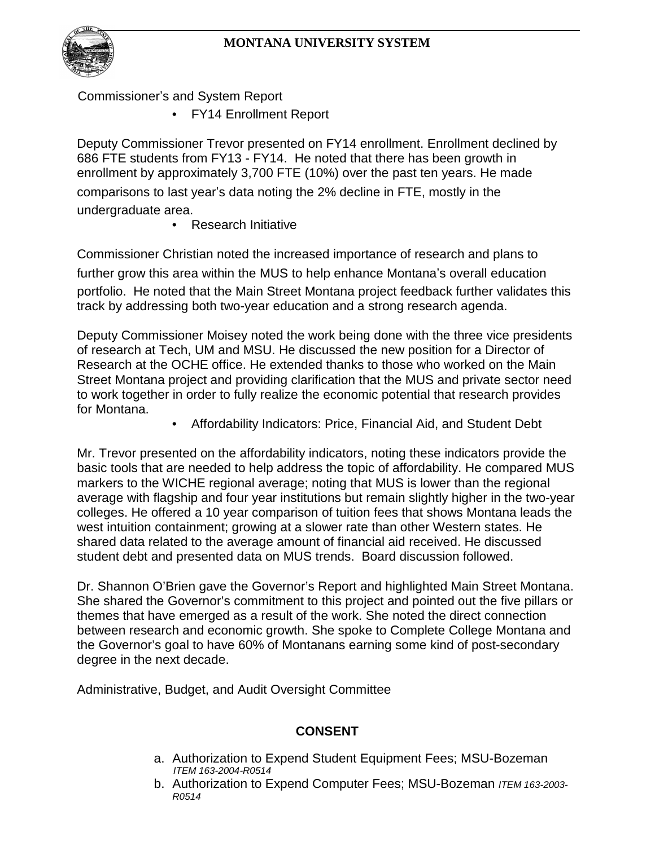

Commissioner's and System Report

• FY14 Enrollment Report

Deputy Commissioner Trevor presented on FY14 enrollment. Enrollment declined by 686 FTE students from FY13 - FY14. He noted that there has been growth in enrollment by approximately 3,700 FTE (10%) over the past ten years. He made comparisons to last year's data noting the 2% decline in FTE, mostly in the undergraduate area.

• Research Initiative

Commissioner Christian noted the increased importance of research and plans to further grow this area within the MUS to help enhance Montana's overall education portfolio. He noted that the Main Street Montana project feedback further validates this track by addressing both two-year education and a strong research agenda.

Deputy Commissioner Moisey noted the work being done with the three vice presidents of research at Tech, UM and MSU. He discussed the new position for a Director of Research at the OCHE office. He extended thanks to those who worked on the Main Street Montana project and providing clarification that the MUS and private sector need to work together in order to fully realize the economic potential that research provides for Montana.

• Affordability Indicators: Price, Financial Aid, and Student Debt

Mr. Trevor presented on the affordability indicators, noting these indicators provide the basic tools that are needed to help address the topic of affordability. He compared MUS markers to the WICHE regional average; noting that MUS is lower than the regional average with flagship and four year institutions but remain slightly higher in the two-year colleges. He offered a 10 year comparison of tuition fees that shows Montana leads the west intuition containment; growing at a slower rate than other Western states. He shared data related to the average amount of financial aid received. He discussed student debt and presented data on MUS trends. Board discussion followed.

Dr. Shannon O'Brien gave the Governor's Report and highlighted Main Street Montana. She shared the Governor's commitment to this project and pointed out the five pillars or themes that have emerged as a result of the work. She noted the direct connection between research and economic growth. She spoke to Complete College Montana and the Governor's goal to have 60% of Montanans earning some kind of post-secondary degree in the next decade.

Administrative, Budget, and Audit Oversight Committee

# **CONSENT**

- a. Authorization to Expend Student Equipment Fees; MSU-Bozeman *ITEM 163-2004-R0514*
- b. Authorization to Expend Computer Fees; MSU-Bozeman *ITEM 163-2003- R0514*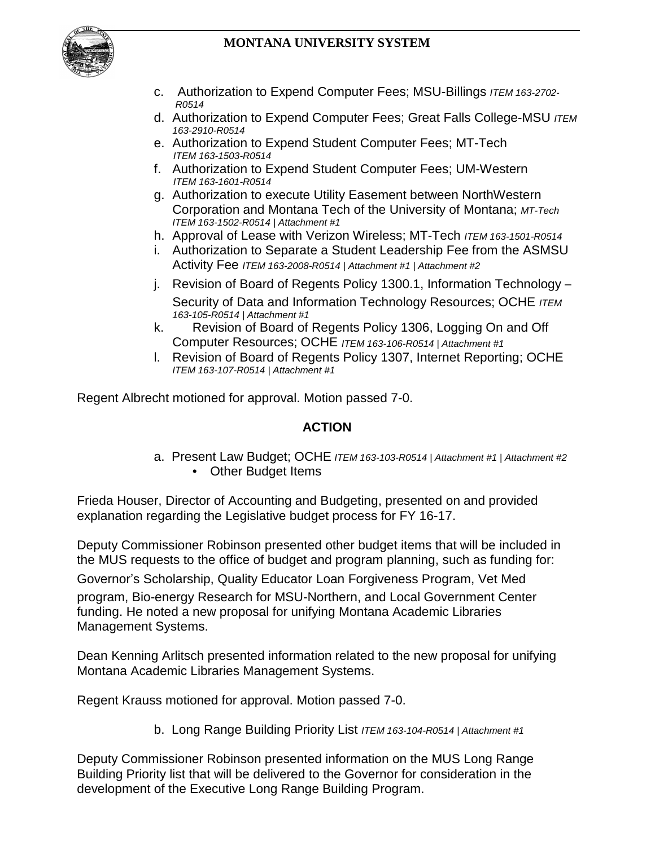

- c. Authorization to Expend Computer Fees; MSU-Billings *ITEM 163-2702- R0514*
- d. Authorization to Expend Computer Fees; Great Falls College-MSU *ITEM 163-2910-R0514*
- e. Authorization to Expend Student Computer Fees; MT-Tech *ITEM 163-1503-R0514*
- f. Authorization to Expend Student Computer Fees; UM-Western *ITEM 163-1601-R0514*
- g. Authorization to execute Utility Easement between NorthWestern Corporation and Montana Tech of the University of Montana; *MT-Tech ITEM 163-1502-R0514 | Attachment #1*
- h. Approval of Lease with Verizon Wireless; MT-Tech *ITEM 163-1501-R0514*
- i. Authorization to Separate a Student Leadership Fee from the ASMSU Activity Fee *ITEM 163-2008-R0514 | Attachment #1 | Attachment #2*
- j. Revision of Board of Regents Policy 1300.1, Information Technology Security of Data and Information Technology Resources; OCHE *ITEM 163-105-R0514 | Attachment #1*
- k. Revision of Board of Regents Policy 1306, Logging On and Off Computer Resources; OCHE *ITEM 163-106-R0514 | Attachment #1*
- l. Revision of Board of Regents Policy 1307, Internet Reporting; OCHE *ITEM 163-107-R0514 | Attachment #1*

Regent Albrecht motioned for approval. Motion passed 7-0.

### **ACTION**

a. Present Law Budget; OCHE *ITEM 163-103-R0514 | Attachment #1 | Attachment #2* **Other Budget Items** 

Frieda Houser, Director of Accounting and Budgeting, presented on and provided explanation regarding the Legislative budget process for FY 16-17.

Deputy Commissioner Robinson presented other budget items that will be included in the MUS requests to the office of budget and program planning, such as funding for:

Governor's Scholarship, Quality Educator Loan Forgiveness Program, Vet Med

program, Bio-energy Research for MSU-Northern, and Local Government Center funding. He noted a new proposal for unifying Montana Academic Libraries Management Systems.

Dean Kenning Arlitsch presented information related to the new proposal for unifying Montana Academic Libraries Management Systems.

Regent Krauss motioned for approval. Motion passed 7-0.

b. Long Range Building Priority List *ITEM 163-104-R0514 | Attachment #1*

Deputy Commissioner Robinson presented information on the MUS Long Range Building Priority list that will be delivered to the Governor for consideration in the development of the Executive Long Range Building Program.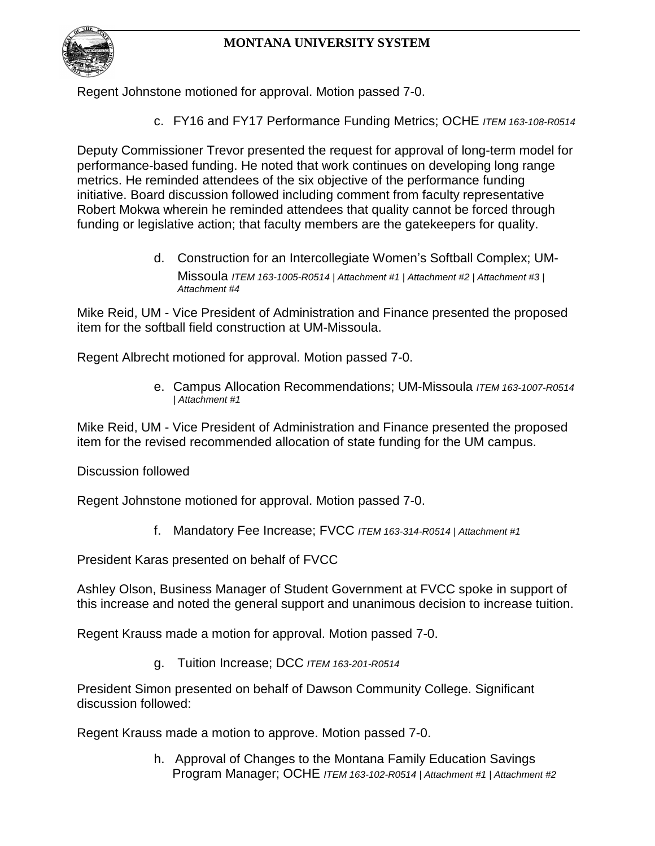

Regent Johnstone motioned for approval. Motion passed 7-0.

c. FY16 and FY17 Performance Funding Metrics; OCHE *ITEM 163-108-R0514*

Deputy Commissioner Trevor presented the request for approval of long-term model for performance-based funding. He noted that work continues on developing long range metrics. He reminded attendees of the six objective of the performance funding initiative. Board discussion followed including comment from faculty representative Robert Mokwa wherein he reminded attendees that quality cannot be forced through funding or legislative action; that faculty members are the gatekeepers for quality.

> d. Construction for an Intercollegiate Women's Softball Complex; UM-Missoula *ITEM 163-1005-R0514 | Attachment #1 | Attachment #2 | Attachment #3 | Attachment #4*

Mike Reid, UM - Vice President of Administration and Finance presented the proposed item for the softball field construction at UM-Missoula.

Regent Albrecht motioned for approval. Motion passed 7-0.

e. Campus Allocation Recommendations; UM-Missoula *ITEM 163-1007-R0514 | Attachment #1*

Mike Reid, UM - Vice President of Administration and Finance presented the proposed item for the revised recommended allocation of state funding for the UM campus.

Discussion followed

Regent Johnstone motioned for approval. Motion passed 7-0.

f. Mandatory Fee Increase; FVCC *ITEM 163-314-R0514 | Attachment #1*

President Karas presented on behalf of FVCC

Ashley Olson, Business Manager of Student Government at FVCC spoke in support of this increase and noted the general support and unanimous decision to increase tuition.

Regent Krauss made a motion for approval. Motion passed 7-0.

g. Tuition Increase; DCC *ITEM 163-201-R0514*

President Simon presented on behalf of Dawson Community College. Significant discussion followed:

Regent Krauss made a motion to approve. Motion passed 7-0.

h. Approval of Changes to the Montana Family Education Savings Program Manager; OCHE *ITEM 163-102-R0514 | Attachment #1 | Attachment #2*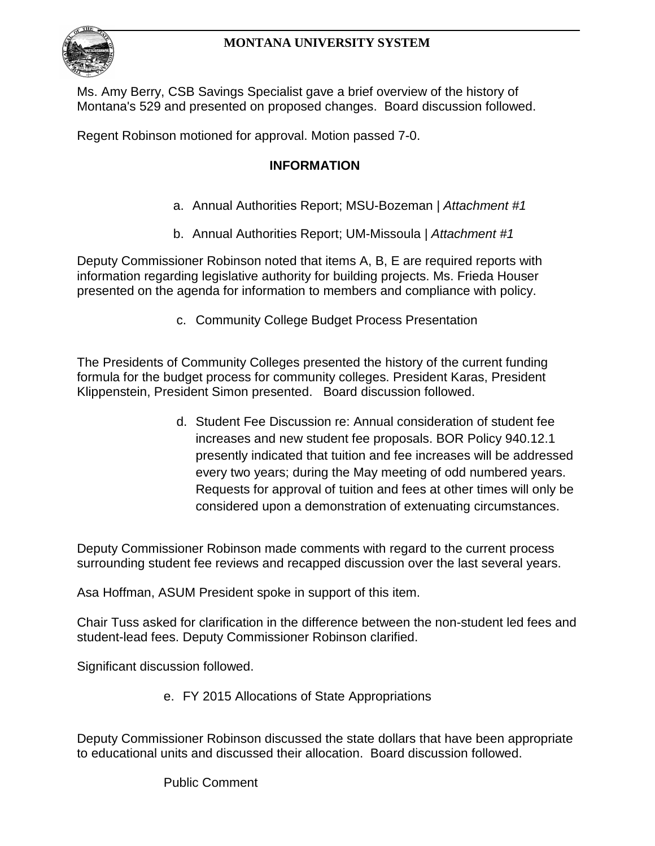Ms. Amy Berry, CSB Savings Specialist gave a brief overview of the history of Montana's 529 and presented on proposed changes. Board discussion followed.

Regent Robinson motioned for approval. Motion passed 7-0.

## **INFORMATION**

- a. Annual Authorities Report; MSU-Bozeman *| Attachment #1*
- b. Annual Authorities Report; UM-Missoula *| Attachment #1*

Deputy Commissioner Robinson noted that items A, B, E are required reports with information regarding legislative authority for building projects. Ms. Frieda Houser presented on the agenda for information to members and compliance with policy.

c. Community College Budget Process Presentation

The Presidents of Community Colleges presented the history of the current funding formula for the budget process for community colleges. President Karas, President Klippenstein, President Simon presented. Board discussion followed.

> d. Student Fee Discussion re: Annual consideration of student fee increases and new student fee proposals. BOR Policy 940.12.1 presently indicated that tuition and fee increases will be addressed every two years; during the May meeting of odd numbered years. Requests for approval of tuition and fees at other times will only be considered upon a demonstration of extenuating circumstances.

Deputy Commissioner Robinson made comments with regard to the current process surrounding student fee reviews and recapped discussion over the last several years.

Asa Hoffman, ASUM President spoke in support of this item.

Chair Tuss asked for clarification in the difference between the non-student led fees and student-lead fees. Deputy Commissioner Robinson clarified.

Significant discussion followed.

e. FY 2015 Allocations of State Appropriations

Deputy Commissioner Robinson discussed the state dollars that have been appropriate to educational units and discussed their allocation. Board discussion followed.

Public Comment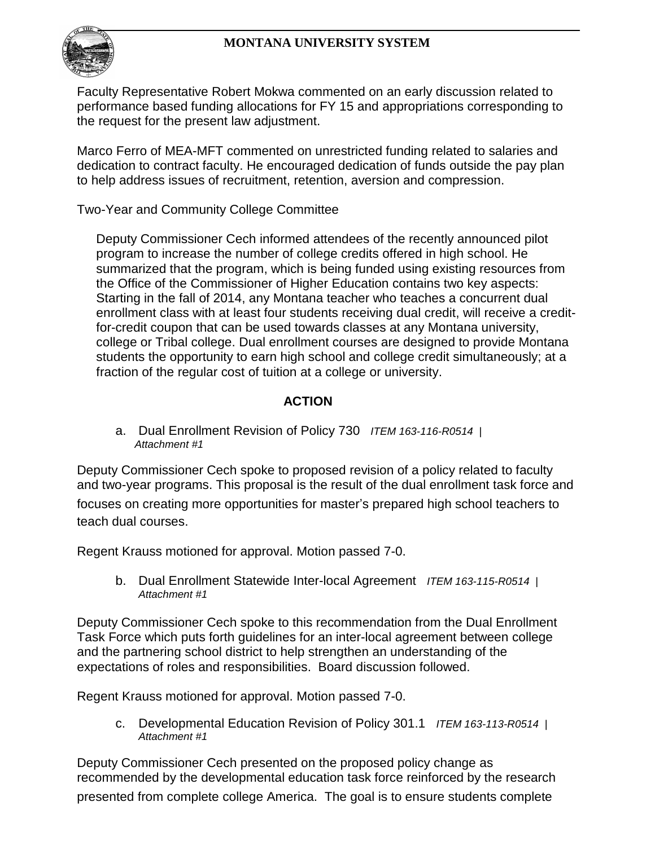

Faculty Representative Robert Mokwa commented on an early discussion related to performance based funding allocations for FY 15 and appropriations corresponding to the request for the present law adjustment.

Marco Ferro of MEA-MFT commented on unrestricted funding related to salaries and dedication to contract faculty. He encouraged dedication of funds outside the pay plan to help address issues of recruitment, retention, aversion and compression.

Two-Year and Community College Committee

Deputy Commissioner Cech informed attendees of the recently announced pilot program to increase the number of college credits offered in high school. He summarized that the program, which is being funded using existing resources from the Office of the Commissioner of Higher Education contains two key aspects: Starting in the fall of 2014, any Montana teacher who teaches a concurrent dual enrollment class with at least four students receiving dual credit, will receive a creditfor-credit coupon that can be used towards classes at any Montana university, college or Tribal college. Dual enrollment courses are designed to provide Montana students the opportunity to earn high school and college credit simultaneously; at a fraction of the regular cost of tuition at a college or university.

## **ACTION**

a. Dual Enrollment Revision of Policy 730 *ITEM 163-116-R0514 | Attachment #1*

Deputy Commissioner Cech spoke to proposed revision of a policy related to faculty and two-year programs. This proposal is the result of the dual enrollment task force and focuses on creating more opportunities for master's prepared high school teachers to teach dual courses.

Regent Krauss motioned for approval. Motion passed 7-0.

b. Dual Enrollment Statewide Inter-local Agreement *ITEM 163-115-R0514* | *Attachment #1*

Deputy Commissioner Cech spoke to this recommendation from the Dual Enrollment Task Force which puts forth guidelines for an inter-local agreement between college and the partnering school district to help strengthen an understanding of the expectations of roles and responsibilities. Board discussion followed.

Regent Krauss motioned for approval. Motion passed 7-0.

c. Developmental Education Revision of Policy 301.1 *ITEM 163-113-R0514 | Attachment #1*

Deputy Commissioner Cech presented on the proposed policy change as recommended by the developmental education task force reinforced by the research presented from complete college America. The goal is to ensure students complete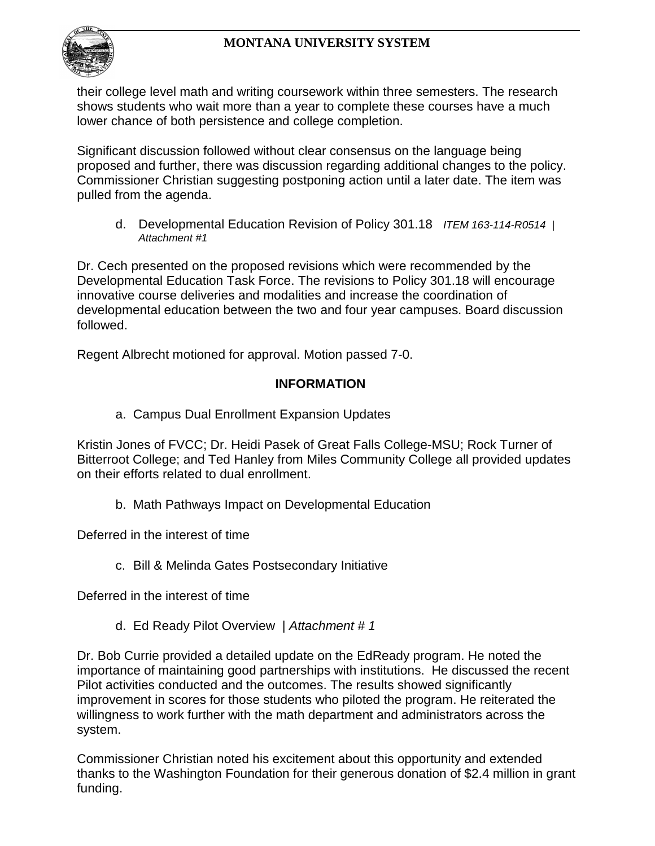

their college level math and writing coursework within three semesters. The research shows students who wait more than a year to complete these courses have a much lower chance of both persistence and college completion.

Significant discussion followed without clear consensus on the language being proposed and further, there was discussion regarding additional changes to the policy. Commissioner Christian suggesting postponing action until a later date. The item was pulled from the agenda.

d. Developmental Education Revision of Policy 301.18 *ITEM 163-114-R0514 | Attachment #1*

Dr. Cech presented on the proposed revisions which were recommended by the Developmental Education Task Force. The revisions to Policy 301.18 will encourage innovative course deliveries and modalities and increase the coordination of developmental education between the two and four year campuses. Board discussion followed.

Regent Albrecht motioned for approval. Motion passed 7-0.

### **INFORMATION**

a. Campus Dual Enrollment Expansion Updates

Kristin Jones of FVCC; Dr. Heidi Pasek of Great Falls College-MSU; Rock Turner of Bitterroot College; and Ted Hanley from Miles Community College all provided updates on their efforts related to dual enrollment.

b. Math Pathways Impact on Developmental Education

Deferred in the interest of time

c. Bill & Melinda Gates Postsecondary Initiative

Deferred in the interest of time

d. Ed Ready Pilot Overview | *Attachment # 1*

Dr. Bob Currie provided a detailed update on the EdReady program. He noted the importance of maintaining good partnerships with institutions. He discussed the recent Pilot activities conducted and the outcomes. The results showed significantly improvement in scores for those students who piloted the program. He reiterated the willingness to work further with the math department and administrators across the system.

Commissioner Christian noted his excitement about this opportunity and extended thanks to the Washington Foundation for their generous donation of \$2.4 million in grant funding.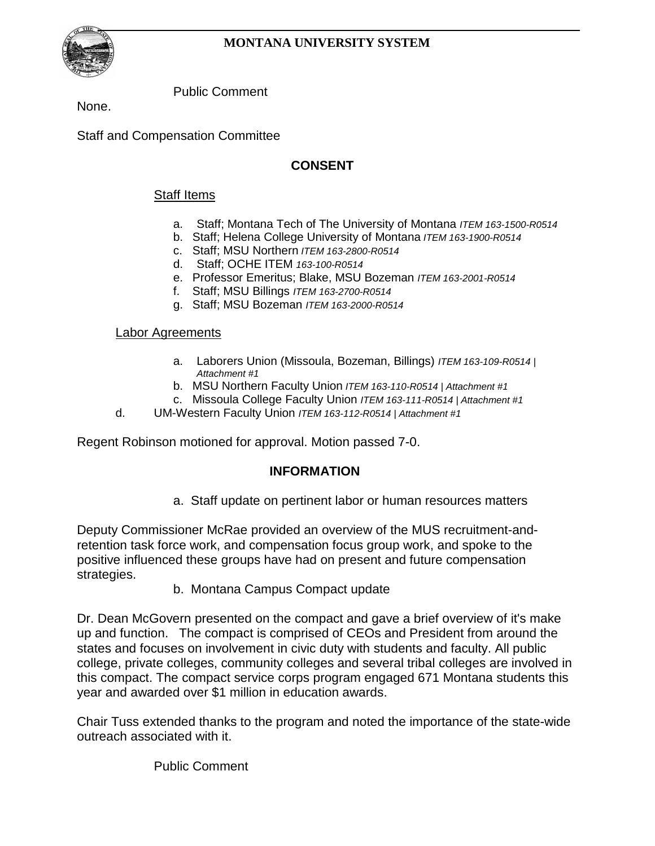

Public Comment

None.

Staff and Compensation Committee

## **CONSENT**

#### Staff Items

- a. Staff; Montana Tech of The University of Montana *ITEM 163-1500-R0514*
- b. Staff; Helena College University of Montana *ITEM 163-1900-R0514*
- c. Staff; MSU Northern *ITEM 163-2800-R0514*
- d. Staff; OCHE ITEM *163-100-R0514*
- e. Professor Emeritus; Blake, MSU Bozeman *ITEM 163-2001-R0514*
- f. Staff; MSU Billings *ITEM 163-2700-R0514*
- g. Staff; MSU Bozeman *ITEM 163-2000-R0514*

#### Labor Agreements

- a. Laborers Union (Missoula, Bozeman, Billings) *ITEM 163-109-R0514 | Attachment #1*
- b. MSU Northern Faculty Union *ITEM 163-110-R0514 | Attachment #1*
- c. Missoula College Faculty Union *ITEM 163-111-R0514 | Attachment #1*
- d. UM-Western Faculty Union *ITEM 163-112-R0514 | Attachment #1*

Regent Robinson motioned for approval. Motion passed 7-0.

### **INFORMATION**

a. Staff update on pertinent labor or human resources matters

Deputy Commissioner McRae provided an overview of the MUS recruitment-andretention task force work, and compensation focus group work, and spoke to the positive influenced these groups have had on present and future compensation strategies.

b. Montana Campus Compact update

Dr. Dean McGovern presented on the compact and gave a brief overview of it's make up and function. The compact is comprised of CEOs and President from around the states and focuses on involvement in civic duty with students and faculty. All public college, private colleges, community colleges and several tribal colleges are involved in this compact. The compact service corps program engaged 671 Montana students this year and awarded over \$1 million in education awards.

Chair Tuss extended thanks to the program and noted the importance of the state-wide outreach associated with it.

Public Comment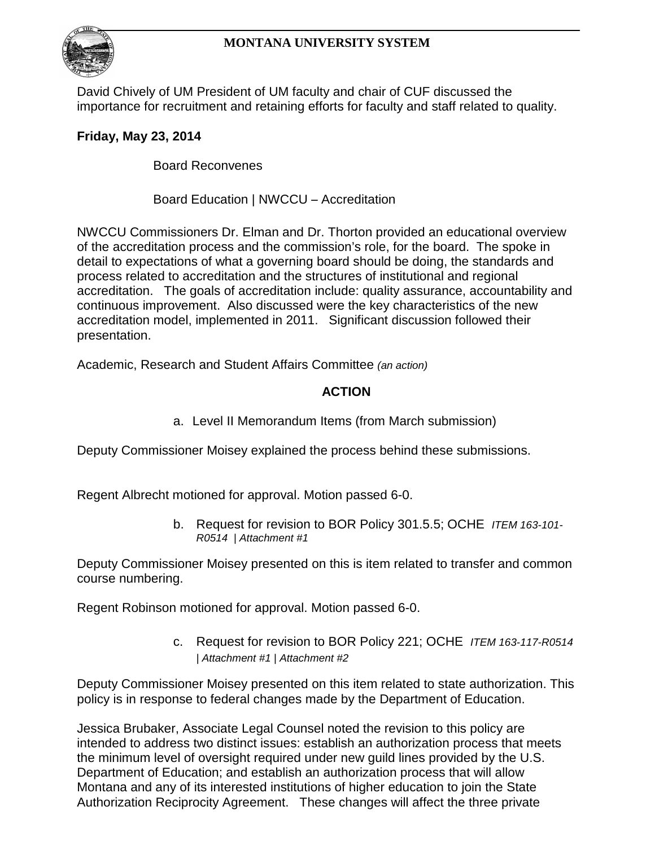

David Chively of UM President of UM faculty and chair of CUF discussed the importance for recruitment and retaining efforts for faculty and staff related to quality.

# **Friday, May 23, 2014**

Board Reconvenes

Board Education | NWCCU – Accreditation

NWCCU Commissioners Dr. Elman and Dr. Thorton provided an educational overview of the accreditation process and the commission's role, for the board. The spoke in detail to expectations of what a governing board should be doing, the standards and process related to accreditation and the structures of institutional and regional accreditation. The goals of accreditation include: quality assurance, accountability and continuous improvement. Also discussed were the key characteristics of the new accreditation model, implemented in 2011. Significant discussion followed their presentation.

Academic, Research and Student Affairs Committee *(an action)*

## **ACTION**

a. Level II Memorandum Items (from March submission)

Deputy Commissioner Moisey explained the process behind these submissions.

Regent Albrecht motioned for approval. Motion passed 6-0.

b. Request for revision to BOR Policy 301.5.5; OCHE *ITEM 163-101- R0514 | Attachment #1*

Deputy Commissioner Moisey presented on this is item related to transfer and common course numbering.

Regent Robinson motioned for approval. Motion passed 6-0.

c. Request for revision to BOR Policy 221; OCHE *ITEM 163-117-R0514 | Attachment #1 | Attachment #2*

Deputy Commissioner Moisey presented on this item related to state authorization. This policy is in response to federal changes made by the Department of Education.

Jessica Brubaker, Associate Legal Counsel noted the revision to this policy are intended to address two distinct issues: establish an authorization process that meets the minimum level of oversight required under new guild lines provided by the U.S. Department of Education; and establish an authorization process that will allow Montana and any of its interested institutions of higher education to join the State Authorization Reciprocity Agreement. These changes will affect the three private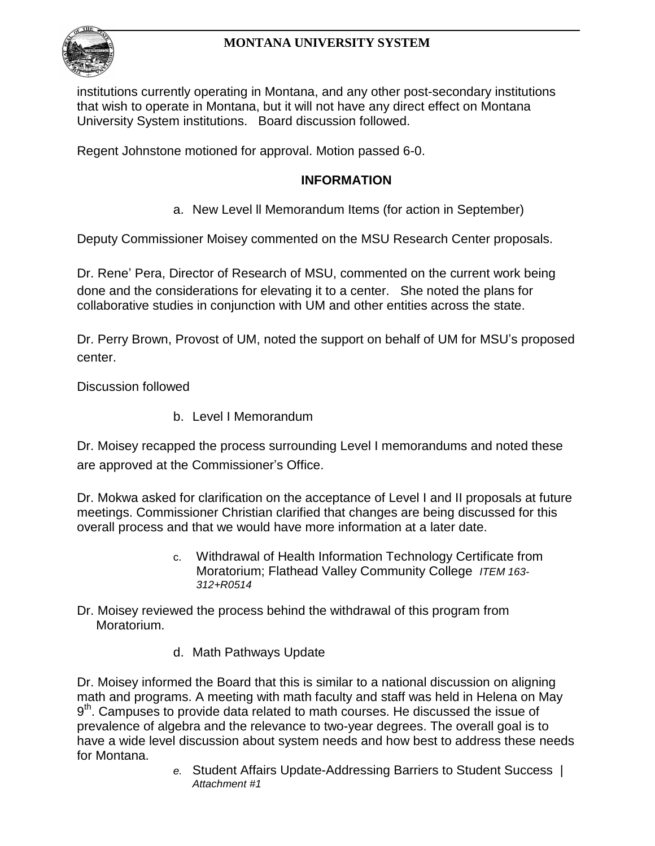

institutions currently operating in Montana, and any other post-secondary institutions that wish to operate in Montana, but it will not have any direct effect on Montana University System institutions. Board discussion followed.

Regent Johnstone motioned for approval. Motion passed 6-0.

### **INFORMATION**

a. New Level ll Memorandum Items (for action in September)

Deputy Commissioner Moisey commented on the MSU Research Center proposals.

Dr. Rene' Pera, Director of Research of MSU, commented on the current work being done and the considerations for elevating it to a center. She noted the plans for collaborative studies in conjunction with UM and other entities across the state.

Dr. Perry Brown, Provost of UM, noted the support on behalf of UM for MSU's proposed center.

Discussion followed

b. Level I Memorandum

Dr. Moisey recapped the process surrounding Level I memorandums and noted these are approved at the Commissioner's Office.

Dr. Mokwa asked for clarification on the acceptance of Level I and II proposals at future meetings. Commissioner Christian clarified that changes are being discussed for this overall process and that we would have more information at a later date.

- c. Withdrawal of Health Information Technology Certificate from Moratorium; Flathead Valley Community College *ITEM 163- 312+R0514*
- Dr. Moisey reviewed the process behind the withdrawal of this program from Moratorium.
	- d. Math Pathways Update

Dr. Moisey informed the Board that this is similar to a national discussion on aligning math and programs. A meeting with math faculty and staff was held in Helena on May  $9<sup>th</sup>$ . Campuses to provide data related to math courses. He discussed the issue of prevalence of algebra and the relevance to two-year degrees. The overall goal is to have a wide level discussion about system needs and how best to address these needs for Montana.

*e.* Student Affairs Update-Addressing Barriers to Student Success | *Attachment #1*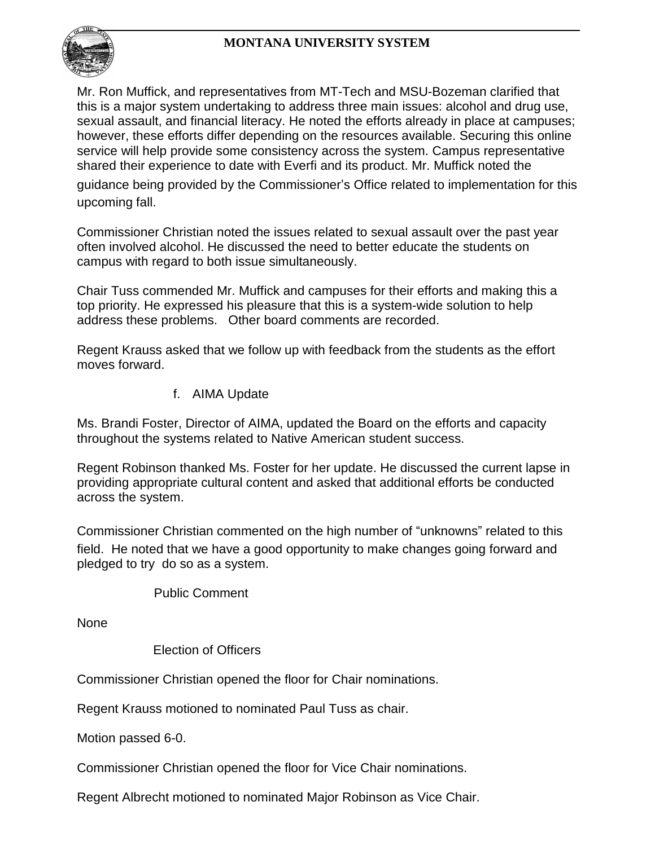

Mr. Ron Muffick, and representatives from MT-Tech and MSU-Bozeman clarified that this is a major system undertaking to address three main issues: alcohol and drug use, sexual assault, and financial literacy. He noted the efforts already in place at campuses; however, these efforts differ depending on the resources available. Securing this online service will help provide some consistency across the system. Campus representative shared their experience to date with Everfi and its product. Mr. Muffick noted the

guidance being provided by the Commissioner's Office related to implementation for this upcoming fall.

Commissioner Christian noted the issues related to sexual assault over the past year often involved alcohol. He discussed the need to better educate the students on campus with regard to both issue simultaneously.

Chair Tuss commended Mr. Muffick and campuses for their efforts and making this a top priority. He expressed his pleasure that this is a system-wide solution to help address these problems. Other board comments are recorded.

Regent Krauss asked that we follow up with feedback from the students as the effort moves forward.

f. AIMA Update

Ms. Brandi Foster, Director of AIMA, updated the Board on the efforts and capacity throughout the systems related to Native American student success.

Regent Robinson thanked Ms. Foster for her update. He discussed the current lapse in providing appropriate cultural content and asked that additional efforts be conducted across the system.

Commissioner Christian commented on the high number of "unknowns" related to this field. He noted that we have a good opportunity to make changes going forward and pledged to try do so as a system.

Public Comment

None

Election of Officers

Commissioner Christian opened the floor for Chair nominations.

Regent Krauss motioned to nominated Paul Tuss as chair.

Motion passed 6-0.

Commissioner Christian opened the floor for Vice Chair nominations.

Regent Albrecht motioned to nominated Major Robinson as Vice Chair.